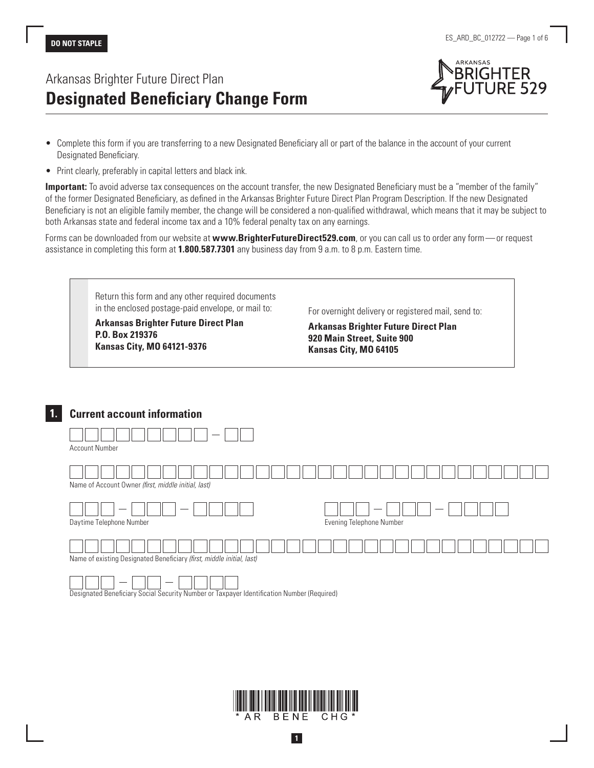# Arkansas Brighter Future Direct Plan **Designated Beneficiary Change Form**



- Complete this form if you are transferring to a new Designated Beneficiary all or part of the balance in the account of your current Designated Beneficiary.
- Print clearly, preferably in capital letters and black ink.

**Important:** To avoid adverse tax consequences on the account transfer, the new Designated Beneficiary must be a "member of the family" of the former Designated Beneficiary, as defined in the Arkansas Brighter Future Direct Plan Program Description. If the new Designated Beneficiary is not an eligible family member, the change will be considered a non-qualified withdrawal, which means that it may be subject to both Arkansas state and federal income tax and a 10% federal penalty tax on any earnings.

Forms can be downloaded from our website at **www.BrighterFutureDirect529.com**, or you can call us to order any form—or request assistance in completing this form at **1.800.587.7301** any business day from 9 a.m. to 8 p.m. Eastern time.

| <b>Arkansas Brighter Future Direct Plan</b><br>P.O. Box 219376<br><b>Kansas City, MO 64121-9376</b> | For overnight delivery or registered mail, send to:<br><b>Arkansas Brighter Future Direct Plan</b><br>920 Main Street, Suite 900<br>Kansas City, MO 64105 |
|-----------------------------------------------------------------------------------------------------|-----------------------------------------------------------------------------------------------------------------------------------------------------------|
|-----------------------------------------------------------------------------------------------------|-----------------------------------------------------------------------------------------------------------------------------------------------------------|

### **1. Current account information**

| <b>Account Number</b>                                                 |                          |
|-----------------------------------------------------------------------|--------------------------|
| Name of Account Owner (first, middle initial, last)                   |                          |
| Daytime Telephone Number                                              | Evening Telephone Number |
| Name of existing Designated Beneficiary (first, middle initial, last) |                          |

Designated Beneficiary Social Security Number or Taxpayer Identification Number (Required)



**1**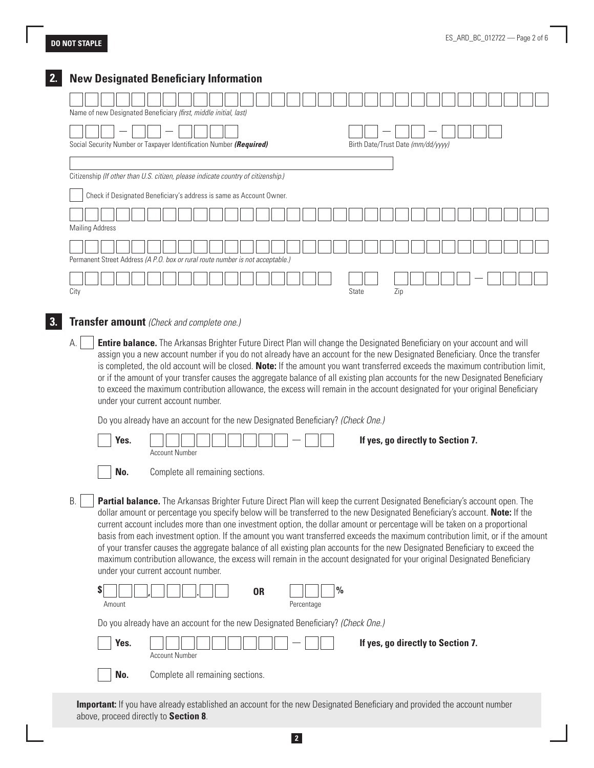|      | Name of new Designated Beneficiary (first, middle initial, last)                                                                                                                                                                                                                                                                                                                                                                                                                                                                                                                                                                                                                                                                                                                                                            |  |                       |                                  |  |           |                                                                                                                             |               |              |                                    |     |  |                                   |  |  |  |
|------|-----------------------------------------------------------------------------------------------------------------------------------------------------------------------------------------------------------------------------------------------------------------------------------------------------------------------------------------------------------------------------------------------------------------------------------------------------------------------------------------------------------------------------------------------------------------------------------------------------------------------------------------------------------------------------------------------------------------------------------------------------------------------------------------------------------------------------|--|-----------------------|----------------------------------|--|-----------|-----------------------------------------------------------------------------------------------------------------------------|---------------|--------------|------------------------------------|-----|--|-----------------------------------|--|--|--|
|      |                                                                                                                                                                                                                                                                                                                                                                                                                                                                                                                                                                                                                                                                                                                                                                                                                             |  |                       |                                  |  |           |                                                                                                                             |               |              |                                    |     |  |                                   |  |  |  |
|      | Social Security Number or Taxpayer Identification Number (Required)                                                                                                                                                                                                                                                                                                                                                                                                                                                                                                                                                                                                                                                                                                                                                         |  |                       |                                  |  |           |                                                                                                                             |               |              | Birth Date/Trust Date (mm/dd/yyyy) |     |  |                                   |  |  |  |
|      |                                                                                                                                                                                                                                                                                                                                                                                                                                                                                                                                                                                                                                                                                                                                                                                                                             |  |                       |                                  |  |           |                                                                                                                             |               |              |                                    |     |  |                                   |  |  |  |
|      | Citizenship (If other than U.S. citizen, please indicate country of citizenship.)                                                                                                                                                                                                                                                                                                                                                                                                                                                                                                                                                                                                                                                                                                                                           |  |                       |                                  |  |           |                                                                                                                             |               |              |                                    |     |  |                                   |  |  |  |
|      |                                                                                                                                                                                                                                                                                                                                                                                                                                                                                                                                                                                                                                                                                                                                                                                                                             |  |                       |                                  |  |           |                                                                                                                             |               |              |                                    |     |  |                                   |  |  |  |
|      | Check if Designated Beneficiary's address is same as Account Owner.                                                                                                                                                                                                                                                                                                                                                                                                                                                                                                                                                                                                                                                                                                                                                         |  |                       |                                  |  |           |                                                                                                                             |               |              |                                    |     |  |                                   |  |  |  |
|      |                                                                                                                                                                                                                                                                                                                                                                                                                                                                                                                                                                                                                                                                                                                                                                                                                             |  |                       |                                  |  |           |                                                                                                                             |               |              |                                    |     |  |                                   |  |  |  |
|      | <b>Mailing Address</b>                                                                                                                                                                                                                                                                                                                                                                                                                                                                                                                                                                                                                                                                                                                                                                                                      |  |                       |                                  |  |           |                                                                                                                             |               |              |                                    |     |  |                                   |  |  |  |
|      |                                                                                                                                                                                                                                                                                                                                                                                                                                                                                                                                                                                                                                                                                                                                                                                                                             |  |                       |                                  |  |           |                                                                                                                             |               |              |                                    |     |  |                                   |  |  |  |
|      | Permanent Street Address (A P.O. box or rural route number is not acceptable.)                                                                                                                                                                                                                                                                                                                                                                                                                                                                                                                                                                                                                                                                                                                                              |  |                       |                                  |  |           |                                                                                                                             |               |              |                                    |     |  |                                   |  |  |  |
|      |                                                                                                                                                                                                                                                                                                                                                                                                                                                                                                                                                                                                                                                                                                                                                                                                                             |  |                       |                                  |  |           |                                                                                                                             |               |              |                                    |     |  |                                   |  |  |  |
| City |                                                                                                                                                                                                                                                                                                                                                                                                                                                                                                                                                                                                                                                                                                                                                                                                                             |  |                       |                                  |  |           |                                                                                                                             |               | <b>State</b> |                                    | Zip |  |                                   |  |  |  |
|      | is completed, the old account will be closed. Note: If the amount you want transferred exceeds the maximum contribution limit,                                                                                                                                                                                                                                                                                                                                                                                                                                                                                                                                                                                                                                                                                              |  |                       |                                  |  |           | assign you a new account number if you do not already have an account for the new Designated Beneficiary. Once the transfer |               |              |                                    |     |  |                                   |  |  |  |
|      | or if the amount of your transfer causes the aggregate balance of all existing plan accounts for the new Designated Beneficiary<br>to exceed the maximum contribution allowance, the excess will remain in the account designated for your original Beneficiary<br>under your current account number.<br>Do you already have an account for the new Designated Beneficiary? (Check One.)<br>Yes.                                                                                                                                                                                                                                                                                                                                                                                                                            |  | <b>Account Number</b> |                                  |  |           |                                                                                                                             |               |              |                                    |     |  | If yes, go directly to Section 7. |  |  |  |
|      | No.                                                                                                                                                                                                                                                                                                                                                                                                                                                                                                                                                                                                                                                                                                                                                                                                                         |  |                       | Complete all remaining sections. |  |           |                                                                                                                             |               |              |                                    |     |  |                                   |  |  |  |
| В.   | Partial balance. The Arkansas Brighter Future Direct Plan will keep the current Designated Beneficiary's account open. The<br>dollar amount or percentage you specify below will be transferred to the new Designated Beneficiary's account. Note: If the<br>current account includes more than one investment option, the dollar amount or percentage will be taken on a proportional<br>basis from each investment option. If the amount you want transferred exceeds the maximum contribution limit, or if the amount<br>of your transfer causes the aggregate balance of all existing plan accounts for the new Designated Beneficiary to exceed the<br>maximum contribution allowance, the excess will remain in the account designated for your original Designated Beneficiary<br>under your current account number. |  |                       |                                  |  |           |                                                                                                                             |               |              |                                    |     |  |                                   |  |  |  |
|      | \$<br>Amount                                                                                                                                                                                                                                                                                                                                                                                                                                                                                                                                                                                                                                                                                                                                                                                                                |  |                       |                                  |  | <b>OR</b> | Percentage                                                                                                                  | $\frac{0}{0}$ |              |                                    |     |  |                                   |  |  |  |
|      | Do you already have an account for the new Designated Beneficiary? (Check One.)                                                                                                                                                                                                                                                                                                                                                                                                                                                                                                                                                                                                                                                                                                                                             |  |                       |                                  |  |           |                                                                                                                             |               |              |                                    |     |  |                                   |  |  |  |
|      | Yes.                                                                                                                                                                                                                                                                                                                                                                                                                                                                                                                                                                                                                                                                                                                                                                                                                        |  | <b>Account Number</b> |                                  |  |           |                                                                                                                             |               |              |                                    |     |  | If yes, go directly to Section 7. |  |  |  |

**Important:** If you have already established an account for the new Designated Beneficiary and provided the account number above, proceed directly to **Section 8**.

**2**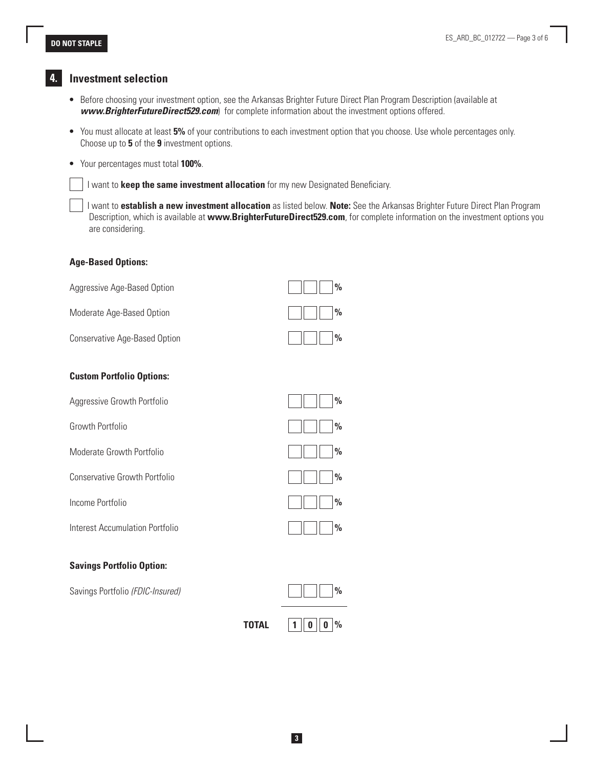### **4. Investment selection**

- Before choosing your investment option, see the Arkansas Brighter Future Direct Plan Program Description (available at *www.BrighterFutureDirect529.com*) for complete information about the investment options offered.
- You must allocate at least **5%** of your contributions to each investment option that you choose. Use whole percentages only. Choose up to **5** of the **9** investment options.
- Your percentages must total **100%**.

I want to **keep the same investment allocation** for my new Designated Beneficiary.

 I want to **establish a new investment allocation** as listed below. **Note:** See the Arkansas Brighter Future Direct Plan Program Description, which is available at **www.BrighterFutureDirect529.com**, for complete information on the investment options you are considering.

### **Age-Based Options:**

| Aggressive Age-Based Option      | $\frac{0}{0}$ |
|----------------------------------|---------------|
| Moderate Age-Based Option        | $\frac{0}{0}$ |
| Conservative Age-Based Option    | $\frac{0}{0}$ |
| <b>Custom Portfolio Options:</b> |               |
| Aggressive Growth Portfolio      | $\frac{0}{0}$ |
| Growth Portfolio                 | $\frac{0}{0}$ |
| Moderate Growth Portfolio        | $\frac{0}{0}$ |
| Conservative Growth Portfolio    | $\%$          |
| Income Portfolio                 | $\frac{0}{0}$ |
| Interest Accumulation Portfolio  | $\frac{0}{0}$ |
| <b>Savings Portfolio Option:</b> |               |
| Savings Portfolio (FDIC-Insured) | $\frac{0}{0}$ |

| <b>TOTAL</b> | $\parallel$ 0 $\%$<br>$\mathbf{0}$ |
|--------------|------------------------------------|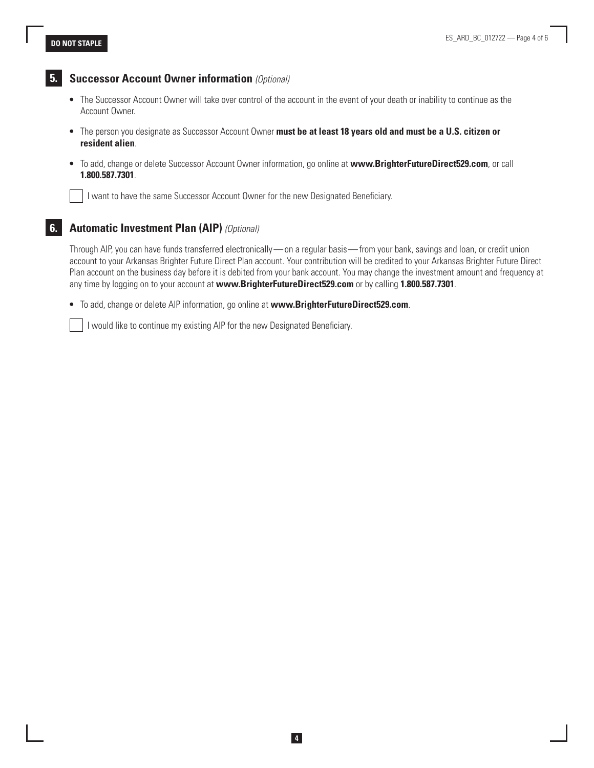

### **5. Successor Account Owner information** *(Optional)*

- The Successor Account Owner will take over control of the account in the event of your death or inability to continue as the Account Owner.
- The person you designate as Successor Account Owner **must be at least 18 years old and must be a U.S. citizen or resident alien**.
- To add, change or delete Successor Account Owner information, go online at **www.BrighterFutureDirect529.com**, or call **1.800.587.7301**.

I want to have the same Successor Account Owner for the new Designated Beneficiary.

### **6. Automatic Investment Plan (AIP)** *(Optional)*

Through AIP, you can have funds transferred electronically—on a regular basis—from your bank, savings and loan, or credit union account to your Arkansas Brighter Future Direct Plan account. Your contribution will be credited to your Arkansas Brighter Future Direct Plan account on the business day before it is debited from your bank account. You may change the investment amount and frequency at any time by logging on to your account at **www.BrighterFutureDirect529.com** or by calling **1.800.587.7301**.

• To add, change or delete AIP information, go online at **www.BrighterFutureDirect529.com**.

I would like to continue my existing AIP for the new Designated Beneficiary.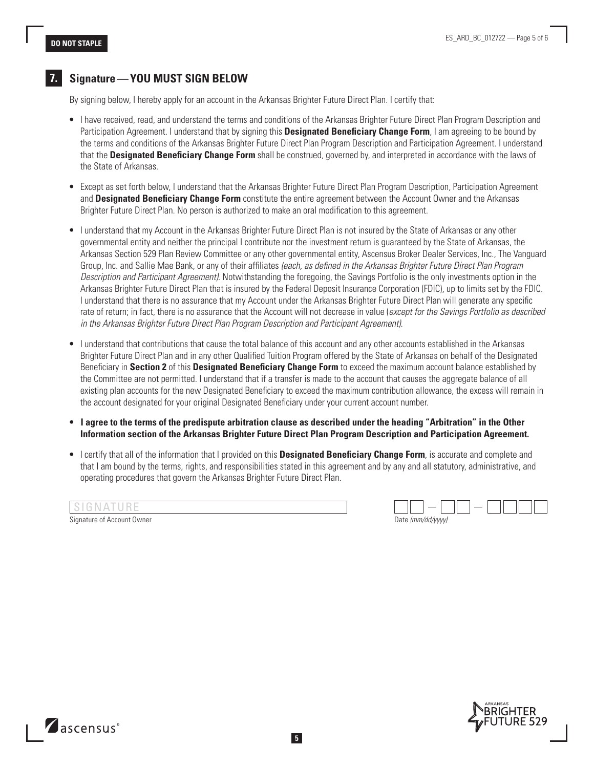## **7. Signature—YOU MUST SIGN BELOW**

By signing below, I hereby apply for an account in the Arkansas Brighter Future Direct Plan. I certify that:

- I have received, read, and understand the terms and conditions of the Arkansas Brighter Future Direct Plan Program Description and Participation Agreement. I understand that by signing this **Designated Beneficiary Change Form**, I am agreeing to be bound by the terms and conditions of the Arkansas Brighter Future Direct Plan Program Description and Participation Agreement. I understand that the **Designated Beneficiary Change Form** shall be construed, governed by, and interpreted in accordance with the laws of the State of Arkansas.
- Except as set forth below, I understand that the Arkansas Brighter Future Direct Plan Program Description, Participation Agreement and **Designated Beneficiary Change Form** constitute the entire agreement between the Account Owner and the Arkansas Brighter Future Direct Plan. No person is authorized to make an oral modification to this agreement.
- I understand that my Account in the Arkansas Brighter Future Direct Plan is not insured by the State of Arkansas or any other governmental entity and neither the principal I contribute nor the investment return is guaranteed by the State of Arkansas, the Arkansas Section 529 Plan Review Committee or any other governmental entity, Ascensus Broker Dealer Services, Inc., The Vanguard Group, Inc. and Sallie Mae Bank, or any of their affiliates *(each, as defined in the Arkansas Brighter Future Direct Plan Program Description and Participant Agreement)*. Notwithstanding the foregoing, the Savings Portfolio is the only investments option in the Arkansas Brighter Future Direct Plan that is insured by the Federal Deposit Insurance Corporation (FDIC), up to limits set by the FDIC. I understand that there is no assurance that my Account under the Arkansas Brighter Future Direct Plan will generate any specific rate of return; in fact, there is no assurance that the Account will not decrease in value (*except for the Savings Portfolio as described in the Arkansas Brighter Future Direct Plan Program Description and Participant Agreement)*.
- I understand that contributions that cause the total balance of this account and any other accounts established in the Arkansas Brighter Future Direct Plan and in any other Qualified Tuition Program offered by the State of Arkansas on behalf of the Designated Beneficiary in **Section 2** of this **Designated Beneficiary Change Form** to exceed the maximum account balance established by the Committee are not permitted. I understand that if a transfer is made to the account that causes the aggregate balance of all existing plan accounts for the new Designated Beneficiary to exceed the maximum contribution allowance, the excess will remain in the account designated for your original Designated Beneficiary under your current account number.
- **I agree to the terms of the predispute arbitration clause as described under the heading "Arbitration" in the Other Information section of the Arkansas Brighter Future Direct Plan Program Description and Participation Agreement.**
- I certify that all of the information that I provided on this **Designated Beneficiary Change Form**, is accurate and complete and that I am bound by the terms, rights, and responsibilities stated in this agreement and by any and all statutory, administrative, and operating procedures that govern the Arkansas Brighter Future Direct Plan.

| ISIGNATURE                 |                   |  |
|----------------------------|-------------------|--|
| Signature of Account Owner | Date (mm/dd/yyyy) |  |

ascensus<sup>®</sup>

| Date (mm/dd/wwv) |  |
|------------------|--|